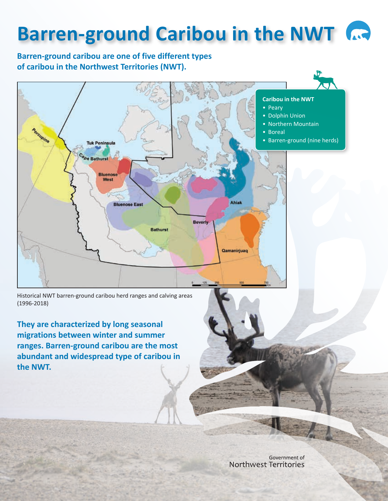# **Barren-ground Caribou in the NWT**

## **Barren-ground caribou are one of five different types of caribou in the Northwest Territories (NWT).**



Historical NWT barren-ground caribou herd ranges and calving areas (1996-2018)

**They are characterized by long seasonal migrations between winter and summer ranges. Barren-ground caribou are the most abundant and widespread type of caribou in the NWT.**

> Government of Northwest Territories